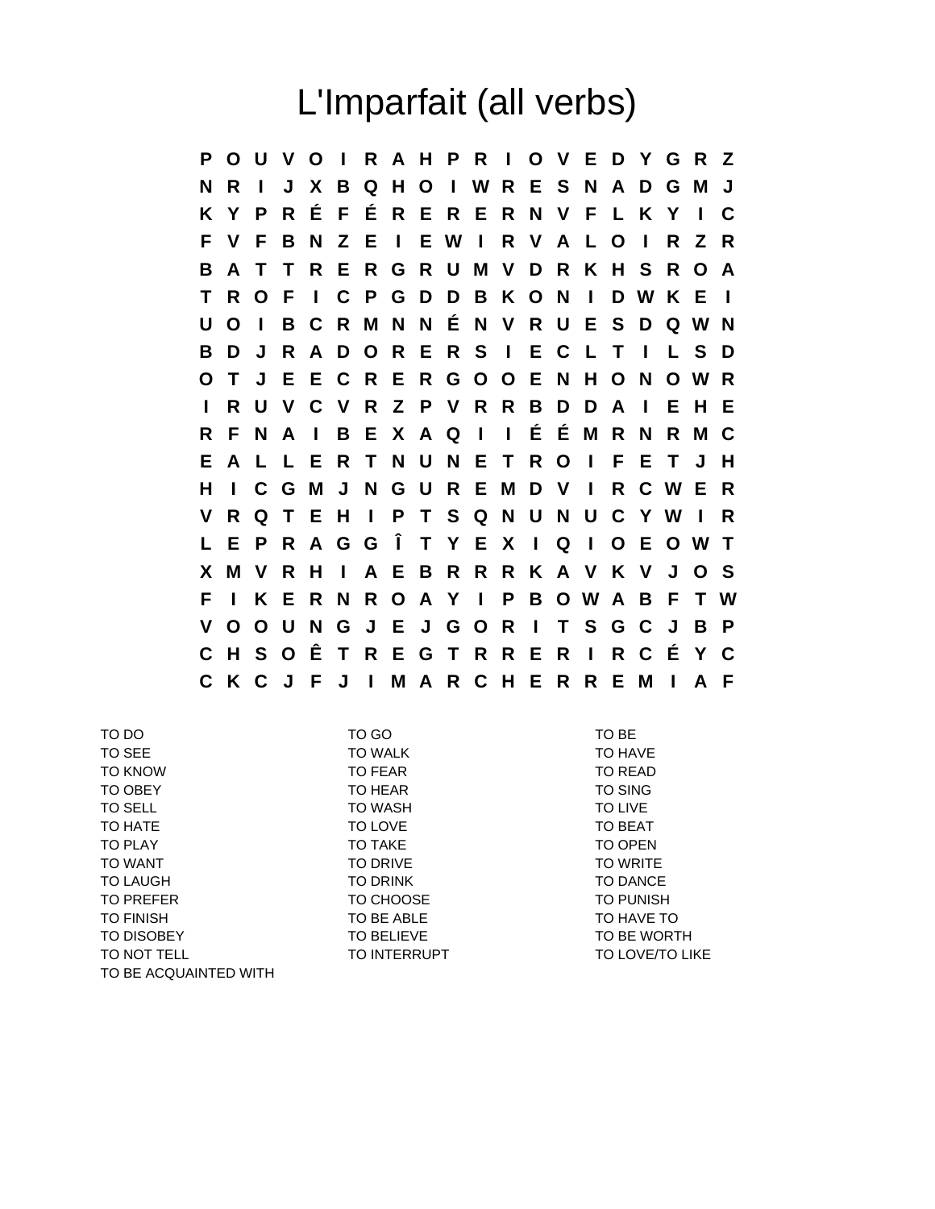## L'Imparfait (all verbs)

**P O U V O I R A H P R I O V E D Y G R Z N R I J X B Q H O I W R E S N A D G M J K Y P R É F É R E R E R N V F L K Y I C F V F B N Z E I E W I R V A L O I R Z R B A T T R E R G R U M V D R K H S R O A T R O F I C P G D D B K O N I D W K E I U O I B C R M N N É N V R U E S D Q W N B D J R A D O R E R S I E C L T I L S D O T J E E C R E R G O O E N H O N O W R I R U V C V R Z P V R R B D D A I E H E R F N A I B E X A Q I I É É M R N R M C E A L L E R T N U N E T R O I F E T J H H I C G M J N G U R E M D V I R C W E R V R Q T E H I P T S Q N U N U C Y W I R L E P R A G G Î T Y E X I Q I O E O W T X M V R H I A E B R R R K A V K V J O S F I K E R N R O A Y I P B O W A B F T W V O O U N G J E J G O R I T S G C J B P C H S O Ê T R E G T R R E R I R C É Y C C K C J F J I M A R C H E R R E M I A F**

| TO DO                 | TO GO             | TO BE                  |
|-----------------------|-------------------|------------------------|
| TO SEE                | <b>TO WALK</b>    | TO HAVE                |
| <b>TO KNOW</b>        | TO FEAR           | TO READ                |
| TO OBEY               | TO HEAR           | <b>TO SING</b>         |
| TO SELL               | <b>TO WASH</b>    | TO LIVE                |
| TO HATE               | TO LOVE           | TO BEAT                |
| TO PLAY               | TO TAKE           | TO OPEN                |
| <b>TO WANT</b>        | TO DRIVE          | <b>TO WRITE</b>        |
| <b>TO LAUGH</b>       | <b>TO DRINK</b>   | <b>TO DANCE</b>        |
| <b>TO PREFER</b>      | TO CHOOSE         | <b>TO PUNISH</b>       |
| <b>TO FINISH</b>      | TO BE ABLE        | TO HAVE TO             |
| TO DISOBEY            | <b>TO BELIEVE</b> | TO BE WORTH            |
| TO NOT TELL           | TO INTERRUPT      | <b>TO LOVE/TO LIKE</b> |
| TO BE ACQUAINTED WITH |                   |                        |